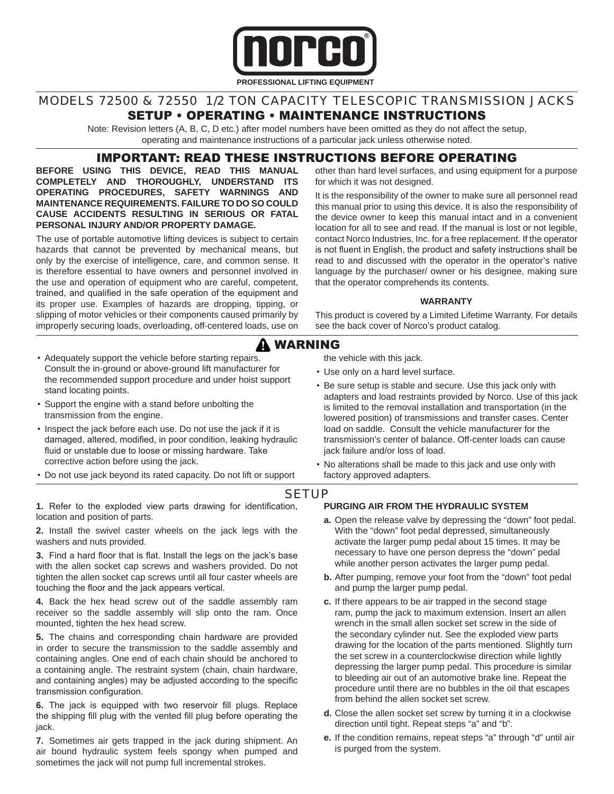

### MODELS 72500 & 72550 1/2 TON CAPACITY TELESCOPIC TRANSMISSION JACKS SETUP • OPERATING • MAINTENANCE INSTRUCTIONS

Note: Revision letters (A, B, C, D etc.) after model numbers have been omitted as they do not affect the setup, operating and maintenance instructions of a particular jack unless otherwise noted.

## IMPORTANT: READ THESE INSTRUCTIONS BEFORE OPERATING

**BEFORE USING THIS DEVICE, READ THIS MANUAL COMPLETELY AND THOROUGHLY, UNDERSTAND ITS OPERATING PROCEDURES, SAFETY WARNINGS AND MAINTENANCE REQUIREMENTS. FAILURE TO DO SO COULD CAUSE ACCIDENTS RESULTING IN SERIOUS OR FATAL PERSONAL INJURY AND/OR PROPERTY DAMAGE.**

The use of portable automotive lifting devices is subject to certain hazards that cannot be prevented by mechanical means, but only by the exercise of intelligence, care, and common sense. It is therefore essential to have owners and personnel involved in the use and operation of equipment who are careful, competent, trained, and qualified in the safe operation of the equipment and its proper use. Examples of hazards are dropping, tipping, or slipping of motor vehicles or their components caused primarily by improperly securing loads, overloading, off-centered loads, use on other than hard level surfaces, and using equipment for a purpose for which it was not designed.

It is the responsibility of the owner to make sure all personnel read this manual prior to using this device. It is also the responsibility of the device owner to keep this manual intact and in a convenient location for all to see and read. If the manual is lost or not legible, contact Norco Industries, Inc. for a free replacement. If the operator is not fluent in English, the product and safety instructions shall be read to and discussed with the operator in the operator's native language by the purchaser/ owner or his designee, making sure that the operator comprehends its contents.

#### **WARRANTY**

This product is covered by a Limited Lifetime Warranty. For details see the back cover of Norco's product catalog.

# WARNING

- Adequately support the vehicle before starting repairs. Consult the in-ground or above-ground lift manufacturer for the recommended support procedure and under hoist support stand locating points.
- Support the engine with a stand before unbolting the transmission from the engine.
- Inspect the jack before each use. Do not use the jack if it is damaged, altered, modified, in poor condition, leaking hydraulic fluid or unstable due to loose or missing hardware. Take corrective action before using the jack.
- Do not use jack beyond its rated capacity. Do not lift or support

# adapters and load restraints provided by Norco. Use of this jack

the vehicle with this jack. • Use only on a hard level surface.

is limited to the removal installation and transportation (in the lowered position) of transmissions and transfer cases. Center load on saddle. Consult the vehicle manufacturer for the transmission's center of balance. Off-center loads can cause jack failure and/or loss of load.

• No alterations shall be made to this jack and use only with factory approved adapters.

• Be sure setup is stable and secure. Use this jack only with

#### **SETUP**

**1.** Refer to the exploded view parts drawing for identification, location and position of parts.

**2.** Install the swivel caster wheels on the jack legs with the washers and nuts provided.

**3.** Find a hard floor that is flat. Install the legs on the jack's base with the allen socket cap screws and washers provided. Do not tighten the allen socket cap screws until all four caster wheels are touching the floor and the jack appears vertical.

**4.** Back the hex head screw out of the saddle assembly ram receiver so the saddle assembly will slip onto the ram. Once mounted, tighten the hex head screw.

**5.** The chains and corresponding chain hardware are provided in order to secure the transmission to the saddle assembly and containing angles. One end of each chain should be anchored to a containing angle. The restraint system (chain, chain hardware, and containing angles) may be adjusted according to the specific transmission configuration.

**6.** The jack is equipped with two reservoir fill plugs. Replace the shipping fill plug with the vented fill plug before operating the jack.

**7.** Sometimes air gets trapped in the jack during shipment. An air bound hydraulic system feels spongy when pumped and sometimes the jack will not pump full incremental strokes.

#### **PURGING AIR FROM THE HYDRAULIC SYSTEM**

- **a.** Open the release valve by depressing the "down" foot pedal. With the "down" foot pedal depressed, simultaneously activate the larger pump pedal about 15 times. It may be necessary to have one person depress the "down" pedal while another person activates the larger pump pedal.
- **b.** After pumping, remove your foot from the "down" foot pedal and pump the larger pump pedal.
- **c.** If there appears to be air trapped in the second stage ram, pump the jack to maximum extension. Insert an allen wrench in the small allen socket set screw in the side of the secondary cylinder nut. See the exploded view parts drawing for the location of the parts mentioned. Slightly turn the set screw in a counterclockwise direction while lightly depressing the larger pump pedal. This procedure is similar to bleeding air out of an automotive brake line. Repeat the procedure until there are no bubbles in the oil that escapes from behind the allen socket set screw.
- **d.** Close the allen socket set screw by turning it in a clockwise direction until tight. Repeat steps "a" and "b".
- **e.** If the condition remains, repeat steps "a" through "d" until air is purged from the system.